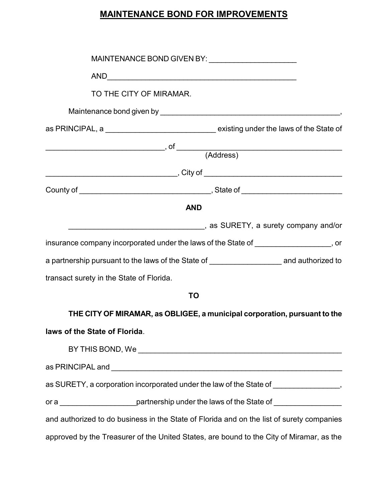## **MAINTENANCE BOND FOR IMPROVEMENTS**

| TO THE CITY OF MIRAMAR.                                                                                                                                                                                                                                                                                                                                            |                                                                           |  |
|--------------------------------------------------------------------------------------------------------------------------------------------------------------------------------------------------------------------------------------------------------------------------------------------------------------------------------------------------------------------|---------------------------------------------------------------------------|--|
|                                                                                                                                                                                                                                                                                                                                                                    |                                                                           |  |
| as PRINCIPAL, a ________________________________existing under the laws of the State of                                                                                                                                                                                                                                                                            |                                                                           |  |
| $\begin{picture}(180,10) \put(0,0){\vector(1,0){100}} \put(15,0){\vector(1,0){100}} \put(15,0){\vector(1,0){100}} \put(15,0){\vector(1,0){100}} \put(15,0){\vector(1,0){100}} \put(15,0){\vector(1,0){100}} \put(15,0){\vector(1,0){100}} \put(15,0){\vector(1,0){100}} \put(15,0){\vector(1,0){100}} \put(15,0){\vector(1,0){100}} \put(15,0){\vector(1,0){100}}$ |                                                                           |  |
|                                                                                                                                                                                                                                                                                                                                                                    |                                                                           |  |
|                                                                                                                                                                                                                                                                                                                                                                    |                                                                           |  |
|                                                                                                                                                                                                                                                                                                                                                                    |                                                                           |  |
| <b>AND</b>                                                                                                                                                                                                                                                                                                                                                         |                                                                           |  |
|                                                                                                                                                                                                                                                                                                                                                                    |                                                                           |  |
| insurance company incorporated under the laws of the State of __________________, or                                                                                                                                                                                                                                                                               |                                                                           |  |
| a partnership pursuant to the laws of the State of _____________________ and authorized to                                                                                                                                                                                                                                                                         |                                                                           |  |
| transact surety in the State of Florida.                                                                                                                                                                                                                                                                                                                           |                                                                           |  |
| <b>TO</b>                                                                                                                                                                                                                                                                                                                                                          |                                                                           |  |
|                                                                                                                                                                                                                                                                                                                                                                    | THE CITY OF MIRAMAR, as OBLIGEE, a municipal corporation, pursuant to the |  |
| laws of the State of Florida.                                                                                                                                                                                                                                                                                                                                      |                                                                           |  |
|                                                                                                                                                                                                                                                                                                                                                                    |                                                                           |  |
|                                                                                                                                                                                                                                                                                                                                                                    |                                                                           |  |
| as SURETY, a corporation incorporated under the law of the State of ________________,                                                                                                                                                                                                                                                                              |                                                                           |  |
| or a _______________________partnership under the laws of the State of ________________                                                                                                                                                                                                                                                                            |                                                                           |  |
| and authorized to do business in the State of Florida and on the list of surety companies                                                                                                                                                                                                                                                                          |                                                                           |  |
| approved by the Treasurer of the United States, are bound to the City of Miramar, as the                                                                                                                                                                                                                                                                           |                                                                           |  |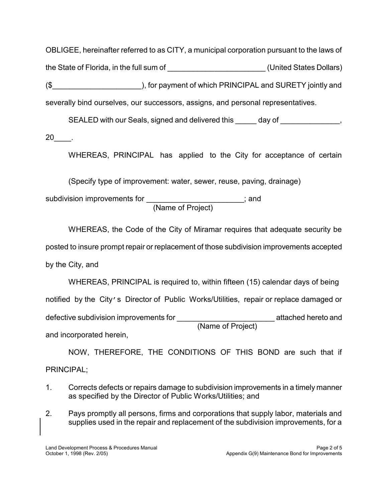OBLIGEE, hereinafter referred to as CITY, a municipal corporation pursuant to the laws of the State of Florida, in the full sum of \_\_\_\_\_\_\_\_\_\_\_\_\_\_\_\_\_\_\_\_\_\_\_ (United States Dollars) (\$\_\_\_\_\_\_\_\_\_\_\_\_\_\_\_\_\_\_\_\_\_), for payment of which PRINCIPAL and SURETY jointly and severally bind ourselves, our successors, assigns, and personal representatives.

SEALED with our Seals, signed and delivered this day of  $\qquad \qquad ,$ 

20\_\_\_\_.

WHEREAS, PRINCIPAL has applied to the City for acceptance of certain

(Specify type of improvement: water, sewer, reuse, paving, drainage)

(Name of Project) subdivision improvements for \_\_\_\_\_\_\_\_\_\_\_\_\_\_\_\_\_\_\_\_\_\_\_; and

WHEREAS, the Code of the City of Miramar requires that adequate security be posted to insure prompt repair or replacement of those subdivision improvements accepted by the City, and

(Name of Project) WHEREAS, PRINCIPAL is required to, within fifteen (15) calendar days of being notified by the City's Director of Public Works/Utilities, repair or replace damaged or defective subdivision improvements for \_\_\_\_\_\_\_\_\_\_\_\_\_\_\_\_\_\_\_\_\_\_\_ attached hereto and and incorporated herein,

NOW, THEREFORE, THE CONDITIONS OF THIS BOND are such that if PRINCIPAL;

- 1. Corrects defects or repairs damage to subdivision improvements in a timely manner as specified by the Director of Public Works/Utilities; and
- 2. Pays promptly all persons, firms and corporations that supply labor, materials and supplies used in the repair and replacement of the subdivision improvements, for a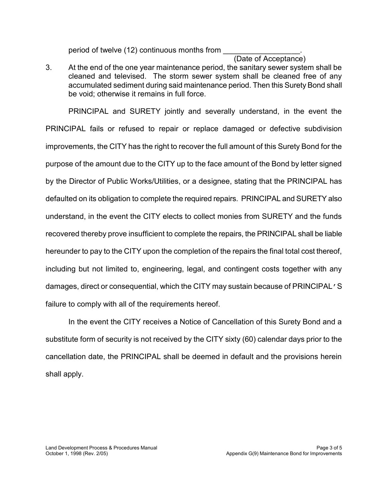period of twelve (12) continuous months from

## (Date of Acceptance)  $\frac{1}{2}$  ,  $\frac{1}{2}$  ,  $\frac{1}{2}$  ,  $\frac{1}{2}$  ,  $\frac{1}{2}$  ,  $\frac{1}{2}$  ,  $\frac{1}{2}$  ,  $\frac{1}{2}$  ,  $\frac{1}{2}$  ,  $\frac{1}{2}$  ,  $\frac{1}{2}$  ,  $\frac{1}{2}$  ,  $\frac{1}{2}$  ,  $\frac{1}{2}$  ,  $\frac{1}{2}$  ,  $\frac{1}{2}$  ,  $\frac{1}{2}$  ,  $\frac{1}{2}$  ,  $\frac{1$

3. At the end of the one year maintenance period, the sanitary sewer system shall be cleaned and televised. The storm sewer system shall be cleaned free of any accumulated sediment during said maintenance period. Then this Surety Bond shall be void; otherwise it remains in full force.

PRINCIPAL and SURETY jointly and severally understand, in the event the PRINCIPAL fails or refused to repair or replace damaged or defective subdivision improvements, the CITY has the right to recover the full amount of this Surety Bond for the purpose of the amount due to the CITY up to the face amount of the Bond by letter signed by the Director of Public Works/Utilities, or a designee, stating that the PRINCIPAL has defaulted on its obligation to complete the required repairs. PRINCIPAL and SURETY also understand, in the event the CITY elects to collect monies from SURETY and the funds recovered thereby prove insufficient to complete the repairs, the PRINCIPAL shall be liable hereunder to pay to the CITY upon the completion of the repairs the final total cost thereof, including but not limited to, engineering, legal, and contingent costs together with any damages, direct or consequential, which the CITY may sustain because of PRINCIPAL'S failure to comply with all of the requirements hereof.

In the event the CITY receives a Notice of Cancellation of this Surety Bond and a substitute form of security is not received by the CITY sixty (60) calendar days prior to the cancellation date, the PRINCIPAL shall be deemed in default and the provisions herein shall apply.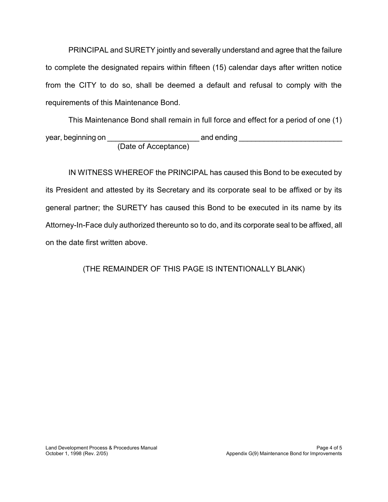PRINCIPAL and SURETY jointly and severally understand and agree that the failure to complete the designated repairs within fifteen (15) calendar days after written notice from the CITY to do so, shall be deemed a default and refusal to comply with the requirements of this Maintenance Bond.

This Maintenance Bond shall remain in full force and effect for a period of one (1) year, beginning on \_\_\_\_\_\_\_\_\_\_\_\_\_\_\_\_\_\_\_\_\_\_ and ending \_\_\_\_\_\_\_\_\_\_\_\_\_\_\_\_\_\_\_\_\_\_\_\_\_ (Date of Acceptance)

IN WITNESS WHEREOF the PRINCIPAL has caused this Bond to be executed by its President and attested by its Secretary and its corporate seal to be affixed or by its general partner; the SURETY has caused this Bond to be executed in its name by its Attorney-In-Face duly authorized thereunto so to do, and its corporate seal to be affixed, all on the date first written above.

(THE REMAINDER OF THIS PAGE IS INTENTIONALLY BLANK)